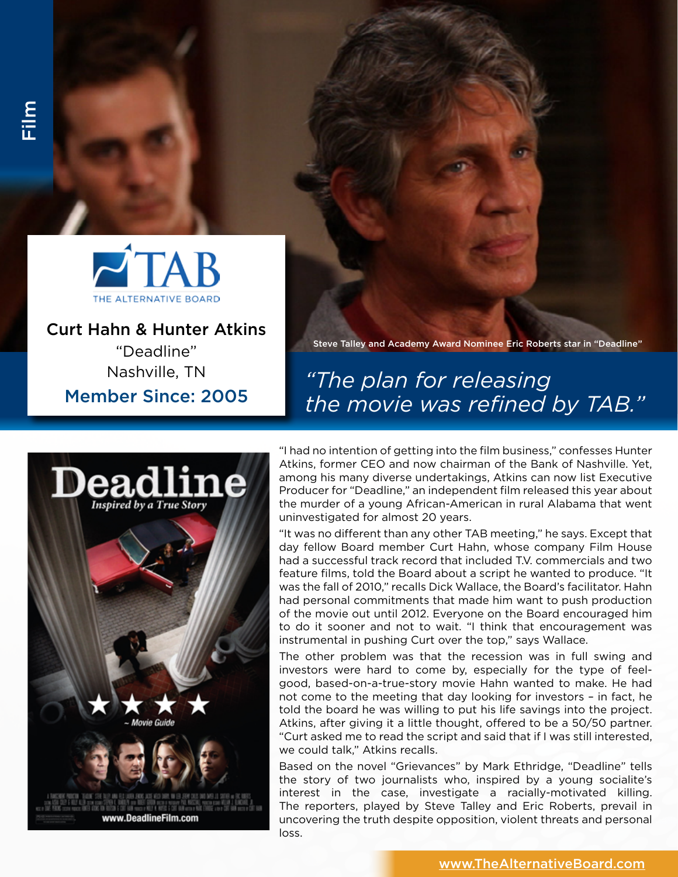

Curt Hahn & Hunter Atkins "Deadline" Nashville, TN

Member Since: 2005

Steve Talley and Academy Award Nominee Eric Roberts star in "Deadline"

## *"The plan for releasing the movie was refined by TAB."*



"I had no intention of getting into the film business," confesses Hunter Atkins, former CEO and now chairman of the Bank of Nashville. Yet, among his many diverse undertakings, Atkins can now list Executive Producer for "Deadline," an independent film released this year about the murder of a young African-American in rural Alabama that went uninvestigated for almost 20 years.

"It was no different than any other TAB meeting," he says. Except that day fellow Board member Curt Hahn, whose company Film House had a successful track record that included T.V. commercials and two feature films, told the Board about a script he wanted to produce. "It was the fall of 2010," recalls Dick Wallace, the Board's facilitator. Hahn had personal commitments that made him want to push production of the movie out until 2012. Everyone on the Board encouraged him to do it sooner and not to wait. "I think that encouragement was instrumental in pushing Curt over the top," says Wallace.

The other problem was that the recession was in full swing and investors were hard to come by, especially for the type of feelgood, based-on-a-true-story movie Hahn wanted to make. He had not come to the meeting that day looking for investors – in fact, he told the board he was willing to put his life savings into the project. Atkins, after giving it a little thought, offered to be a 50/50 partner. "Curt asked me to read the script and said that if I was still interested, we could talk," Atkins recalls.

Based on the novel "Grievances" by Mark Ethridge, "Deadline" tells the story of two journalists who, inspired by a young socialite's interest in the case, investigate a racially-motivated killing. The reporters, played by Steve Talley and Eric Roberts, prevail in uncovering the truth despite opposition, violent threats and personal loss.